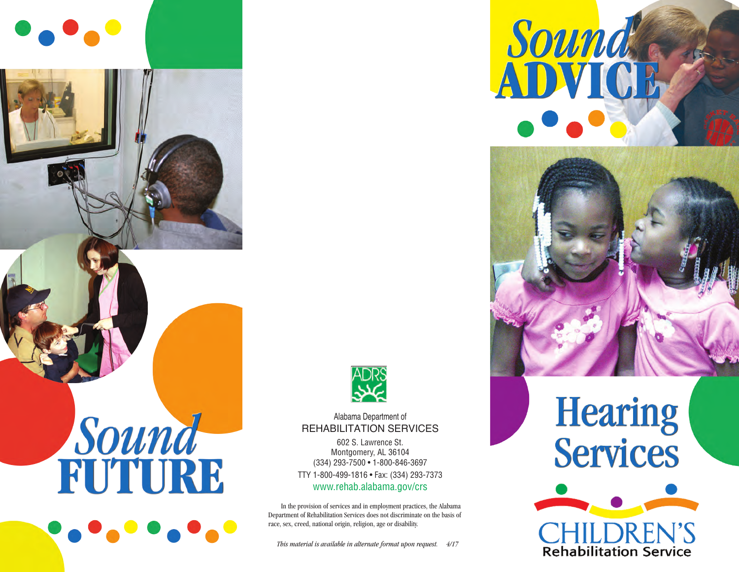

## Sound





#### Alabama Department of REHABILITATION SERVICES

602 S. Lawrence St. Montgomery, AL 36104 (334) 293-7500 • 1-800-846-3697 TTY 1-800-499-1816 • Fax: (334) 293-7373 www.rehab.alabama.gov/crs

In the provision of services and in employment practices, the Alabama Department of Rehabilitation Services does not discriminate on the basis of race, sex, creed, national origin, religion, age or disability.

*This material is available in alternate format upon request. 4/17*

# Sound



## **Hearing Services**